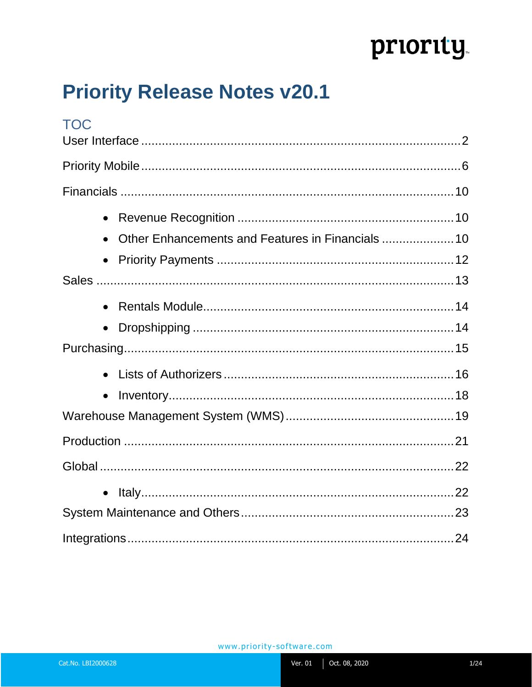# priority

## **Priority Release Notes v20.1**

| <b>TOC</b> |  |
|------------|--|
|            |  |
|            |  |
|            |  |
| $\bullet$  |  |
|            |  |
|            |  |
|            |  |
|            |  |
| $\bullet$  |  |
|            |  |
|            |  |
| $\bullet$  |  |
|            |  |
|            |  |
|            |  |
| $\bullet$  |  |
|            |  |
|            |  |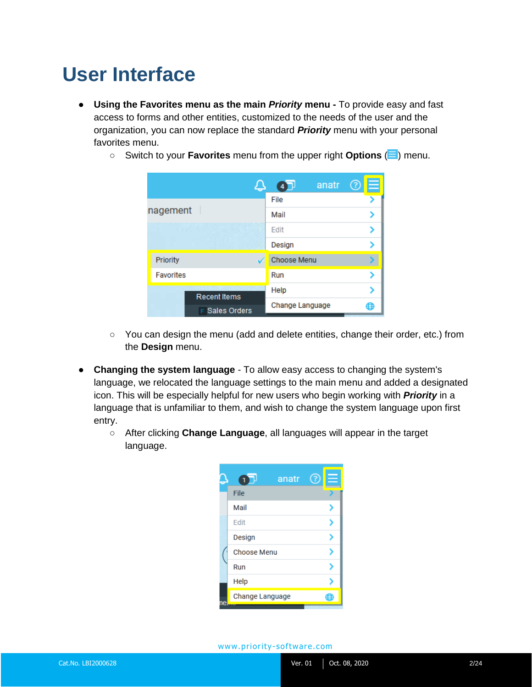### <span id="page-1-0"></span>**User Interface**

- **Using the Favorites menu as the main** *Priority* **menu -** To provide easy and fast access to forms and other entities, customized to the needs of the user and the organization, you can now replace the standard *Priority* menu with your personal favorites menu.
	- Switch to your **Favorites** menu from the upper right **Options** (**□**) menu.

|                                     | anatr              | ÷<br>3 |
|-------------------------------------|--------------------|--------|
|                                     | File               |        |
| nagement                            | Mail               |        |
|                                     | <b>Edit</b>        |        |
|                                     | Design             |        |
| Priority                            | <b>Choose Menu</b> |        |
| <b>Favorites</b>                    | Run                |        |
| <b>Recent Items</b><br>Sales Orders | Help               |        |
|                                     | Change Language    | €      |

- You can design the menu (add and delete entities, change their order, etc.) from the **Design** menu.
- **Changing the system language**  To allow easy access to changing the system's language, we relocated the language settings to the main menu and added a designated icon. This will be especially helpful for new users who begin working with *Priority* in a language that is unfamiliar to them, and wish to change the system language upon first entry.
	- After clicking **Change Language**, all languages will appear in the target language.

| anatr              |  |
|--------------------|--|
| File               |  |
| Mail               |  |
| Edit               |  |
| Design             |  |
| <b>Choose Menu</b> |  |
| Run                |  |
| Help               |  |
| Change Language    |  |
|                    |  |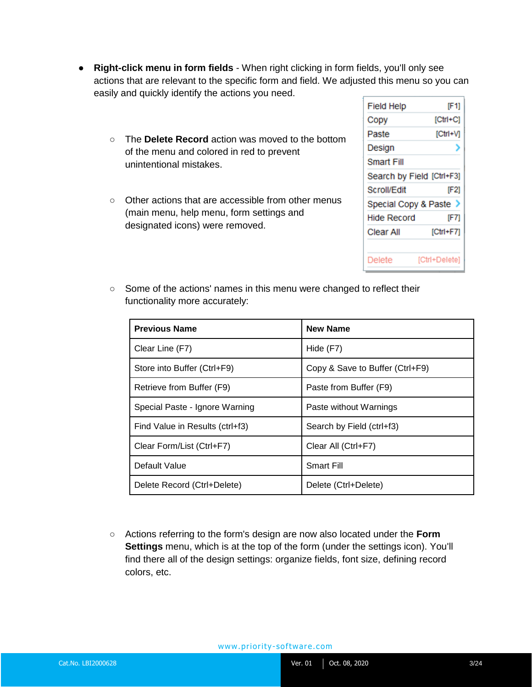- **Right-click menu in form fields** When right clicking in form fields, you'll only see actions that are relevant to the specific form and field. We adjusted this menu so you can easily and quickly identify the actions you need.
	- The **Delete Record** action was moved to the bottom of the menu and colored in red to prevent unintentional mistakes.
	- Other actions that are accessible from other menus (main menu, help menu, form settings and designated icons) were removed.

| Field Help                | IF 11         |
|---------------------------|---------------|
| Copy                      | $[Ctr] + C]$  |
| Paste                     | $[CH+VI]$     |
| Design                    | י             |
| Smart Fill                |               |
| Search by Field [Ctrl+F3] |               |
| Scroll/Edit               | [F2]          |
| Special Copy & Paste >    |               |
| Hide Record               | [F7]          |
| Clear All                 | $[CHH+F7]$    |
|                           |               |
| Delete                    | [Ctrl+Delete] |

○ Some of the actions' names in this menu were changed to reflect their functionality more accurately:

| <b>Previous Name</b>            | <b>New Name</b>                 |
|---------------------------------|---------------------------------|
| Clear Line (F7)                 | Hide (F7)                       |
| Store into Buffer (Ctrl+F9)     | Copy & Save to Buffer (Ctrl+F9) |
| Retrieve from Buffer (F9)       | Paste from Buffer (F9)          |
| Special Paste - Ignore Warning  | Paste without Warnings          |
| Find Value in Results (ctrl+f3) | Search by Field (ctrl+f3)       |
| Clear Form/List (Ctrl+F7)       | Clear All (Ctrl+F7)             |
| Default Value                   | <b>Smart Fill</b>               |
| Delete Record (Ctrl+Delete)     | Delete (Ctrl+Delete)            |

○ Actions referring to the form's design are now also located under the **Form Settings** menu, which is at the top of the form (under the settings icon). You'll find there all of the design settings: organize fields, font size, defining record colors, etc.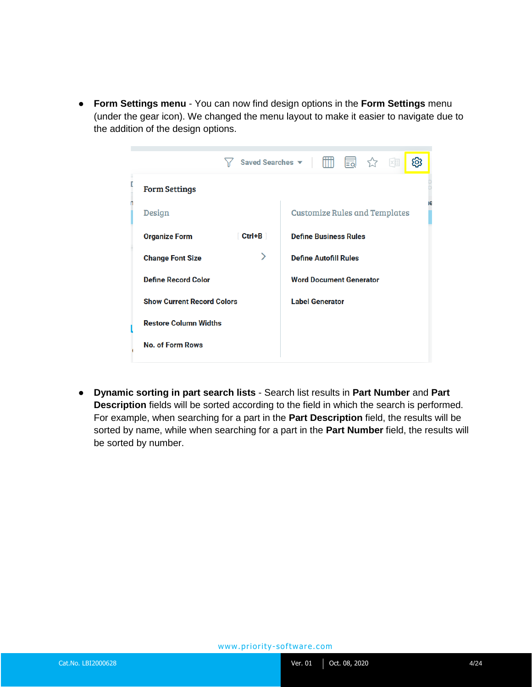● **Form Settings menu** - You can now find design options in the **Form Settings** menu (under the gear icon). We changed the menu layout to make it easier to navigate due to the addition of the design options.

| Saved Searches $\blacktriangledown$   $\Box$ $\Box$ $\Diamond$<br>ද්ඉ<br>XII<br>⋎ |            |                                            |
|-----------------------------------------------------------------------------------|------------|--------------------------------------------|
| <b>Form Settings</b>                                                              |            |                                            |
| <b>Design</b>                                                                     |            | ۱e<br><b>Customize Rules and Templates</b> |
| <b>Organize Form</b>                                                              | $Ctrl + B$ | <b>Define Business Rules</b>               |
| <b>Change Font Size</b>                                                           | ゝ          | <b>Define Autofill Rules</b>               |
| <b>Define Record Color</b>                                                        |            | <b>Word Document Generator</b>             |
| <b>Show Current Record Colors</b>                                                 |            | <b>Label Generator</b>                     |
| <b>Restore Column Widths</b>                                                      |            |                                            |
| <b>No. of Form Rows</b>                                                           |            |                                            |

● **Dynamic sorting in part search lists** - Search list results in **Part Number** and **Part Description** fields will be sorted according to the field in which the search is performed. For example, when searching for a part in the **Part Description** field, the results will be sorted by name, while when searching for a part in the **Part Number** field, the results will be sorted by number.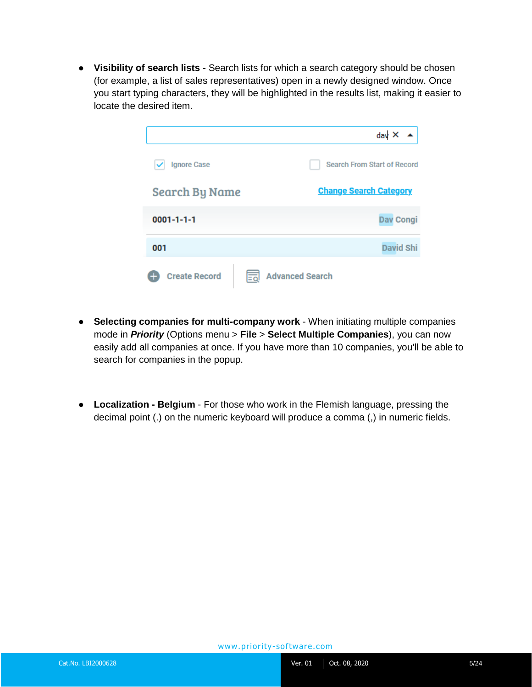● **Visibility of search lists** - Search lists for which a search category should be chosen (for example, a list of sales representatives) open in a newly designed window. Once you start typing characters, they will be highlighted in the results list, making it easier to locate the desired item.

|                       | $day \times$                       |
|-----------------------|------------------------------------|
| <b>Ignore Case</b>    | <b>Search From Start of Record</b> |
| <b>Search By Name</b> | <b>Change Search Category</b>      |
| $0001 - 1 - 1 - 1$    | <b>Dav Congi</b>                   |
| 001                   | <b>David Shi</b>                   |
| <b>Create Record</b>  | <b>Advanced Search</b><br>Ξā       |

- **Selecting companies for multi-company work** When initiating multiple companies mode in *Priority* (Options menu > **File** > **Select Multiple Companies**), you can now easily add all companies at once. If you have more than 10 companies, you'll be able to search for companies in the popup.
- **Localization - Belgium**  For those who work in the Flemish language, pressing the decimal point (.) on the numeric keyboard will produce a comma (,) in numeric fields.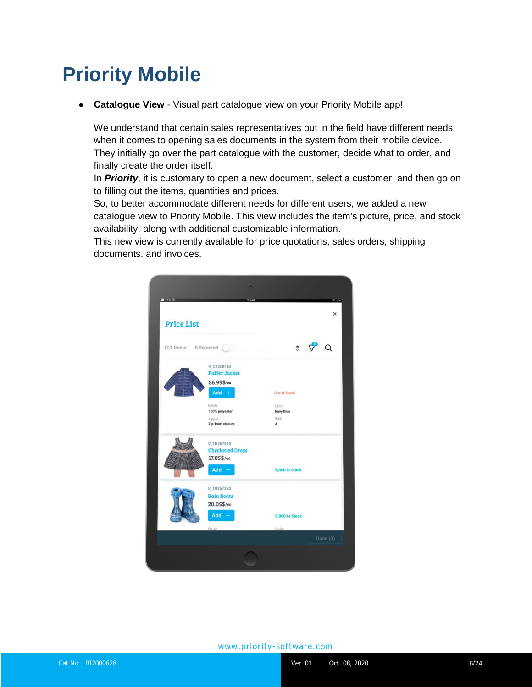### <span id="page-5-0"></span>**Priority Mobile**

● **Catalogue View** - Visual part catalogue view on your Priority Mobile app!

We understand that certain sales representatives out in the field have different needs when it comes to opening sales documents in the system from their mobile device. They initially go over the part catalogue with the customer, decide what to order, and finally create the order itself.

In *Priority*, it is customary to open a new document, select a customer, and then go on to filling out the items, quantities and prices.

So, to better accommodate different needs for different users, we added a new catalogue view to Priority Mobile. This view includes the item's picture, price, and stock availability, along with additional customizable information.

This new view is currently available for price quotations, sales orders, shipping documents, and invoices.

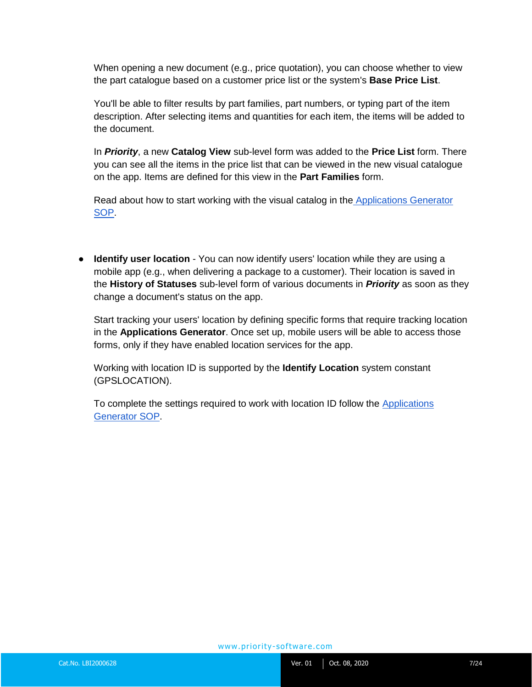When opening a new document (e.g., price quotation), you can choose whether to view the part catalogue based on a customer price list or the system's **Base Price List**.

You'll be able to filter results by part families, part numbers, or typing part of the item description. After selecting items and quantities for each item, the items will be added to the document.

In *Priority*, a new **Catalog View** sub-level form was added to the **Price List** form. There you can see all the items in the price list that can be viewed in the new visual catalogue on the app. Items are defined for this view in the **Part Families** form.

Read about how to start working with the visual catalog in the **[Applications Generator](https://support.priority-software.com/#/kb/LBI2000561/English)** [SOP.](https://support.priority-software.com/#/kb/LBI2000561/English)

● **Identify user location** - You can now identify users' location while they are using a mobile app (e.g., when delivering a package to a customer). Their location is saved in the **History of Statuses** sub-level form of various documents in *Priority* as soon as they change a document's status on the app.

Start tracking your users' location by defining specific forms that require tracking location in the **Applications Generator**. Once set up, mobile users will be able to access those forms, only if they have enabled location services for the app.

Working with location ID is supported by the **Identify Location** system constant (GPSLOCATION).

To complete the settings required to work with location ID follow the [Applications](https://support.priority-software.com/#/kb/LBI2000561/English)  [Generator](https://support.priority-software.com/#/kb/LBI2000561/English) [SOP.](https://support.priority-software.com/#/kb/LBI2000561/English)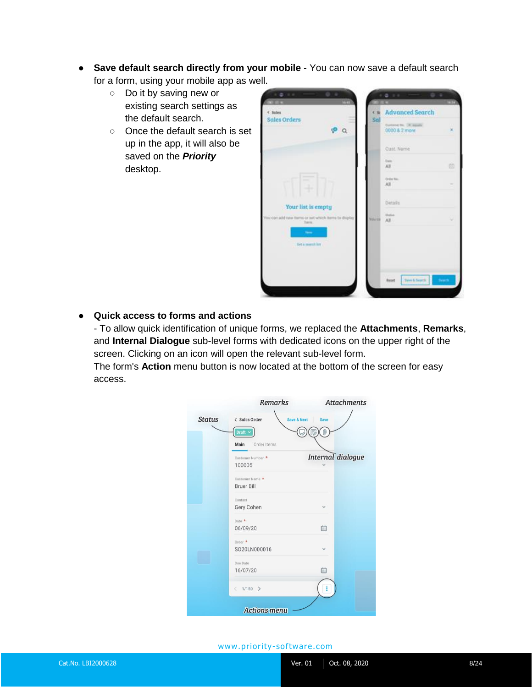- **Save default search directly from your mobile** You can now save a default search for a form, using your mobile app as well.
	- Do it by saving new or existing search settings as the default search.
	- Once the default search is set up in the app, it will also be saved on the *Priority* desktop.



#### ● **Quick access to forms and actions**

- To allow quick identification of unique forms, we replaced the **Attachments**, **Remarks**, and **Internal Dialogue** sub-level forms with dedicated icons on the upper right of the screen. Clicking on an icon will open the relevant sub-level form.

The form's **Action** menu button is now located at the bottom of the screen for easy access.

|               | <b>Remarks</b>                          | <b>Attachments</b> |
|---------------|-----------------------------------------|--------------------|
| <b>Status</b> | < Sales Order<br><b>Save &amp; Next</b> | <b>Save</b>        |
|               | Draft $\sim$<br>Order Items<br>Main     | 0                  |
|               | Customer Number *<br>100005             | Internal dialogue  |
|               | Customer Name *<br><b>Bruer Bill</b>    |                    |
|               | Contact<br>Gery Cohen                   | $\checkmark$       |
|               | Date *<br>06/09/20                      | 曲                  |
|               | Order *<br>SO20LN000016                 |                    |
|               | Due Date<br>16/07/20                    | 曲                  |
|               | $1/150$ ><br>K                          |                    |
|               | <b>Actions menu</b>                     |                    |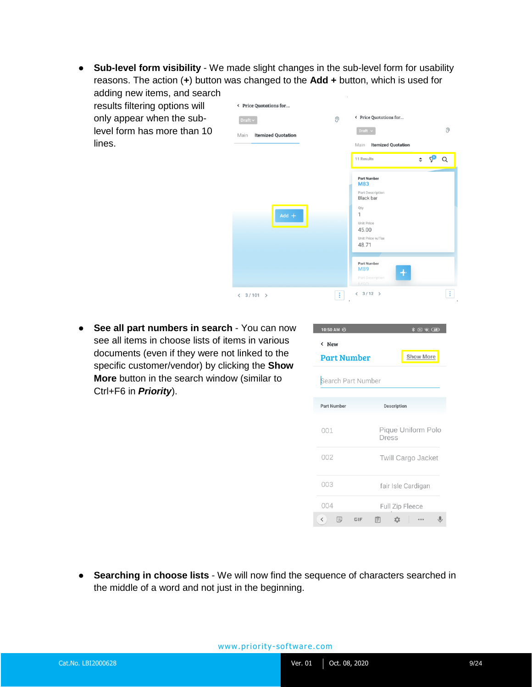● **Sub-level form visibility** - We made slight changes in the sub-level form for usability reasons. The action (**+**) button was changed to the **Add +** button, which is used for adding new items, and search

results filtering options will only appear when the sublevel form has more than 10 lines.



● **See all part numbers in search** - You can now see all items in choose lists of items in various documents (even if they were not linked to the specific customer/vendor) by clicking the **Show More** button in the search window (similar to Ctrl+F6 in *Priority*).

| 10:50 AM $%$                        | $\texttt{\#} \boxtimes \texttt{\#} \texttt{\#}$ |
|-------------------------------------|-------------------------------------------------|
| $\langle$ New<br><b>Part Number</b> | Show More                                       |
| Search Part Number                  |                                                 |
| <b>Part Number</b>                  | Description                                     |
| 001                                 | Pique Uniform Polo<br>Dress                     |
| 002                                 | <b>Twill Cargo Jacket</b>                       |
| 003                                 | fair Isle Cardigan                              |
| 004                                 | Full Zip Fleece                                 |
| ロ<br>$\langle$<br>GIF               | 訚                                               |

● **Searching in choose lists** - We will now find the sequence of characters searched in the middle of a word and not just in the beginning.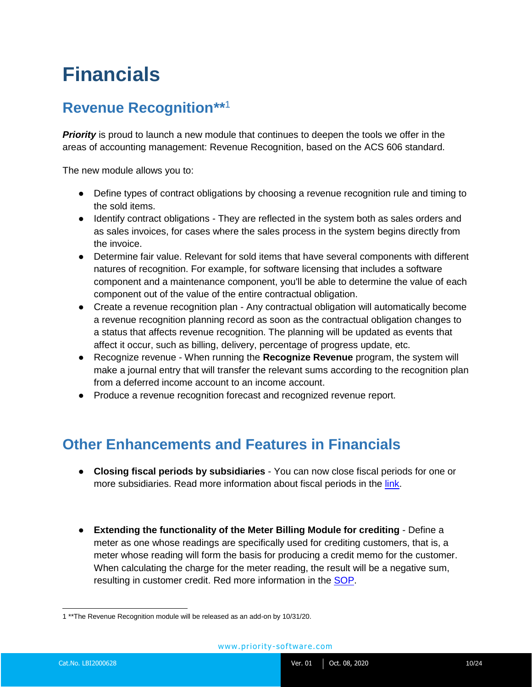### <span id="page-9-0"></span>**Financials**

#### <span id="page-9-1"></span>**Revenue Recognition\*\*** 1

**Priority** is proud to launch a new module that continues to deepen the tools we offer in the areas of accounting management: Revenue Recognition, based on the ACS 606 standard.

The new module allows you to:

- Define types of contract obligations by choosing a revenue recognition rule and timing to the sold items.
- Identify contract obligations They are reflected in the system both as sales orders and as sales invoices, for cases where the sales process in the system begins directly from the invoice.
- Determine fair value. Relevant for sold items that have several components with different natures of recognition. For example, for software licensing that includes a software component and a maintenance component, you'll be able to determine the value of each component out of the value of the entire contractual obligation.
- Create a revenue recognition plan Any contractual obligation will automatically become a revenue recognition planning record as soon as the contractual obligation changes to a status that affects revenue recognition. The planning will be updated as events that affect it occur, such as billing, delivery, percentage of progress update, etc.
- Recognize revenue When running the **Recognize Revenue** program, the system will make a journal entry that will transfer the relevant sums according to the recognition plan from a deferred income account to an income account.
- Produce a revenue recognition forecast and recognized revenue report.

#### <span id="page-9-2"></span>**Other Enhancements and Features in Financials**

- **Closing fiscal periods by subsidiaries**  You can now close fiscal periods for one or more subsidiaries. Read more information about fiscal periods in the [link.](https://support.priority-software.com/#/kb/LBI2000593/English)
- **Extending the functionality of the Meter Billing Module for crediting** Define a meter as one whose readings are specifically used for crediting customers, that is, a meter whose reading will form the basis for producing a credit memo for the customer. When calculating the charge for the meter reading, the result will be a negative sum, resulting in customer credit. Red more information in the **SOP**.

 1 \*\*The Revenue Recognition module will be released as an add-on by 10/31/20.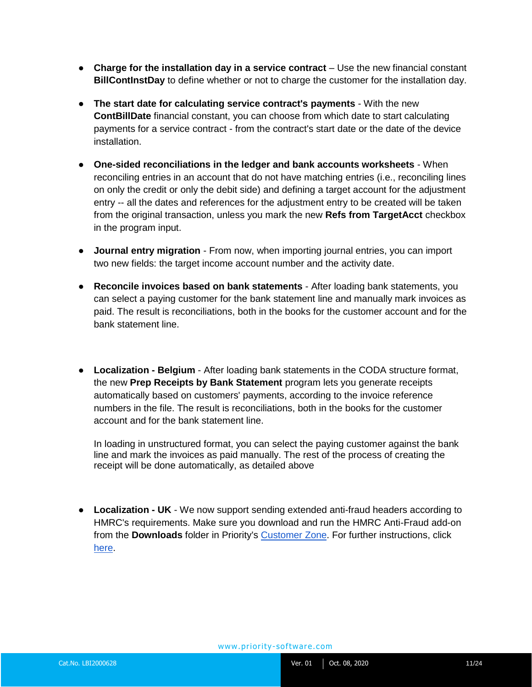- **Charge for the installation day in a service contract** Use the new financial constant **BillContInstDay** to define whether or not to charge the customer for the installation day.
- **The start date for calculating service contract's payments** With the new **ContBillDate** financial constant, you can choose from which date to start calculating payments for a service contract - from the contract's start date or the date of the device installation.
- **One-sided reconciliations in the ledger and bank accounts worksheets** When reconciling entries in an account that do not have matching entries (i.e., reconciling lines on only the credit or only the debit side) and defining a target account for the adjustment entry -- all the dates and references for the adjustment entry to be created will be taken from the original transaction, unless you mark the new **Refs from TargetAcct** checkbox in the program input.
- **Journal entry migration** From now, when importing journal entries, you can import two new fields: the target income account number and the activity date.
- **Reconcile invoices based on bank statements** After loading bank statements, you can select a paying customer for the bank statement line and manually mark invoices as paid. The result is reconciliations, both in the books for the customer account and for the bank statement line.
- **Localization - Belgium** After loading bank statements in the CODA structure format, the new **Prep Receipts by Bank Statement** program lets you generate receipts automatically based on customers' payments, according to the invoice reference numbers in the file. The result is reconciliations, both in the books for the customer account and for the bank statement line.

In loading in unstructured format, you can select the paying customer against the bank line and mark the invoices as paid manually. The rest of the process of creating the receipt will be done automatically, as detailed above

● **Localization - UK** - We now support sending extended anti-fraud headers according to HMRC's requirements. Make sure you download and run the HMRC Anti-Fraud add-on from the **Downloads** folder in Priority's [Customer Zone.](https://www.priority-software.com/customer-zone-2/) For further instructions, click [here.](https://support.priority-software.com/#/kb/FQ17000068_E/English)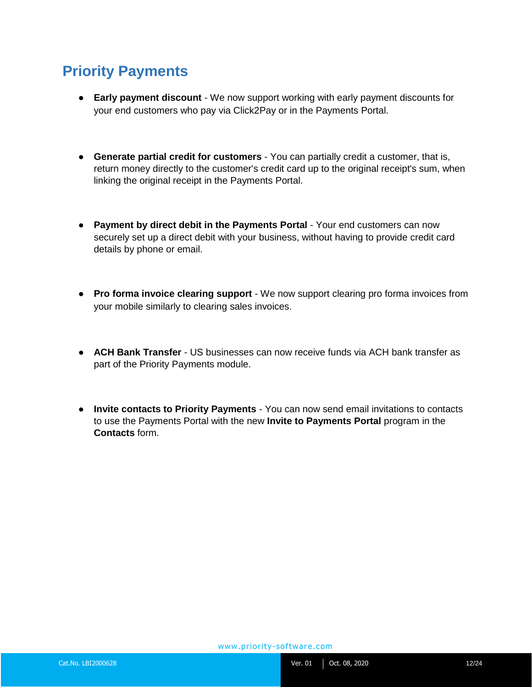#### <span id="page-11-0"></span>**Priority Payments**

- **Early payment discount**  We now support working with early payment discounts for your end customers who pay via Click2Pay or in the Payments Portal.
- **Generate partial credit for customers** You can partially credit a customer, that is, return money directly to the customer's credit card up to the original receipt's sum, when linking the original receipt in the Payments Portal.
- **Payment by direct debit in the Payments Portal** Your end customers can now securely set up a direct debit with your business, without having to provide credit card details by phone or email.
- **Pro forma invoice clearing support** We now support clearing pro forma invoices from your mobile similarly to clearing sales invoices.
- **ACH Bank Transfer** US businesses can now receive funds via ACH bank transfer as part of the Priority Payments module.
- **Invite contacts to Priority Payments** You can now send email invitations to contacts to use the Payments Portal with the new **Invite to Payments Portal** program in the **Contacts** form.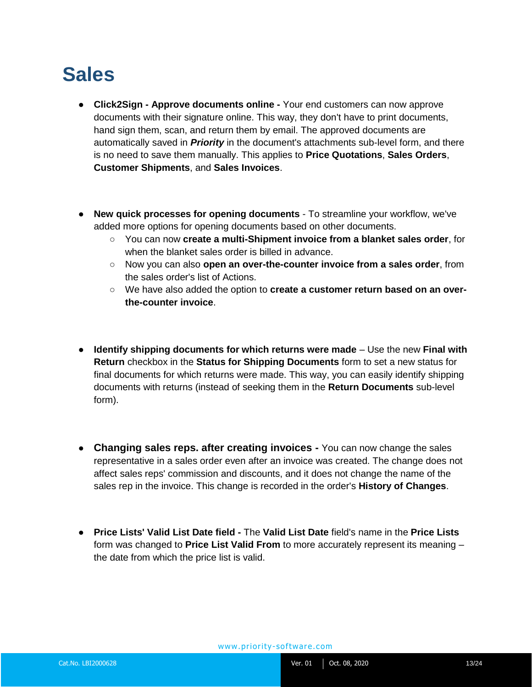### <span id="page-12-0"></span>**Sales**

- **Click2Sign - Approve documents online -** Your end customers can now approve documents with their signature online. This way, they don't have to print documents, hand sign them, scan, and return them by email. The approved documents are automatically saved in *Priority* in the document's attachments sub-level form, and there is no need to save them manually. This applies to **Price Quotations**, **Sales Orders**, **Customer Shipments**, and **Sales Invoices**.
- **New quick processes for opening documents** To streamline your workflow, we've added more options for opening documents based on other documents.
	- You can now **create a multi-Shipment invoice from a blanket sales order**, for when the blanket sales order is billed in advance.
	- Now you can also **open an over-the-counter invoice from a sales order**, from the sales order's list of Actions.
	- We have also added the option to **create a customer return based on an overthe-counter invoice**.
- **Identify shipping documents for which returns were made** Use the new **Final with Return** checkbox in the **Status for Shipping Documents** form to set a new status for final documents for which returns were made. This way, you can easily identify shipping documents with returns (instead of seeking them in the **Return Documents** sub-level form).
- **Changing sales reps. after creating invoices -** You can now change the sales representative in a sales order even after an invoice was created. The change does not affect sales reps' commission and discounts, and it does not change the name of the sales rep in the invoice. This change is recorded in the order's **History of Changes**.
- **Price Lists' Valid List Date field -** The **Valid List Date** field's name in the **Price Lists** form was changed to **Price List Valid From** to more accurately represent its meaning – the date from which the price list is valid.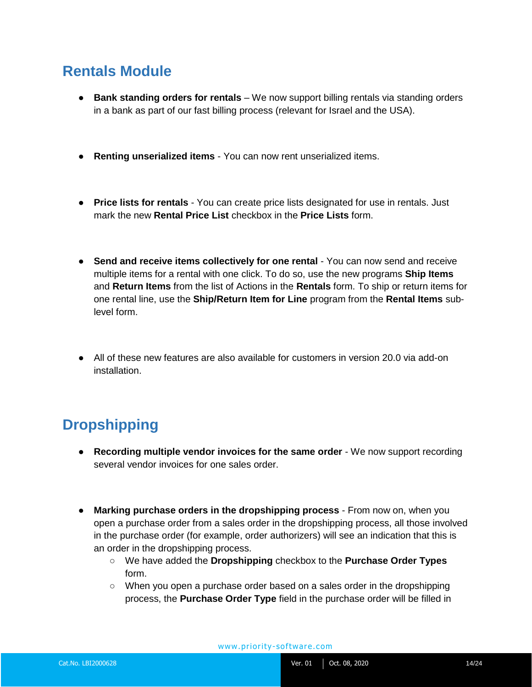#### <span id="page-13-0"></span>**Rentals Module**

- **Bank standing orders for rentals** We now support billing rentals via standing orders in a bank as part of our fast billing process (relevant for Israel and the USA).
- **Renting unserialized items**  You can now rent unserialized items.
- **Price lists for rentals** You can create price lists designated for use in rentals. Just mark the new **Rental Price List** checkbox in the **Price Lists** form.
- **Send and receive items collectively for one rental** You can now send and receive multiple items for a rental with one click. To do so, use the new programs **Ship Items** and **Return Items** from the list of Actions in the **Rentals** form. To ship or return items for one rental line, use the **Ship/Return Item for Line** program from the **Rental Items** sublevel form.
- All of these new features are also available for customers in version 20.0 via add-on installation.

### <span id="page-13-1"></span>**Dropshipping**

- **Recording multiple vendor invoices for the same order** We now support recording several vendor invoices for one sales order.
- **Marking purchase orders in the dropshipping process** From now on, when you open a purchase order from a sales order in the dropshipping process, all those involved in the purchase order (for example, order authorizers) will see an indication that this is an order in the dropshipping process.
	- We have added the **Dropshipping** checkbox to the **Purchase Order Types** form.
	- When you open a purchase order based on a sales order in the dropshipping process, the **Purchase Order Type** field in the purchase order will be filled in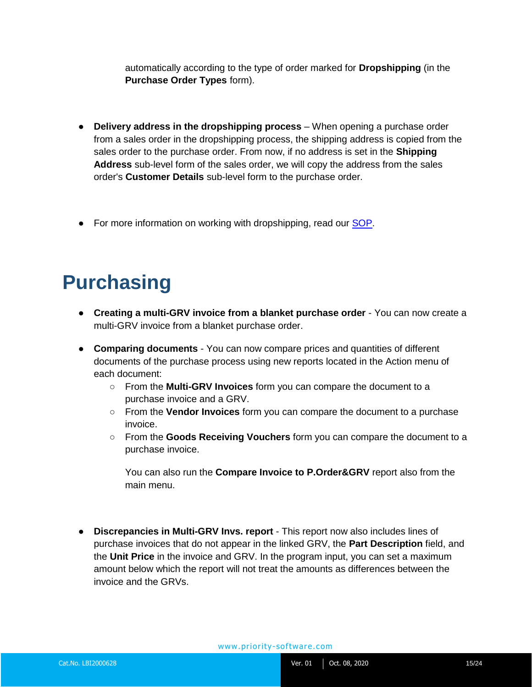automatically according to the type of order marked for **Dropshipping** (in the **Purchase Order Types** form).

- **Delivery address in the dropshipping process** When opening a purchase order from a sales order in the dropshipping process, the shipping address is copied from the sales order to the purchase order. From now, if no address is set in the **Shipping Address** sub-level form of the sales order, we will copy the address from the sales order's **Customer Details** sub-level form to the purchase order.
- For more information on working with dropshipping, read our **SOP**.

## <span id="page-14-0"></span>**Purchasing**

- **Creating a multi-GRV invoice from a blanket purchase order** You can now create a multi-GRV invoice from a blanket purchase order.
- **Comparing documents** You can now compare prices and quantities of different documents of the purchase process using new reports located in the Action menu of each document:
	- From the **Multi-GRV Invoices** form you can compare the document to a purchase invoice and a GRV.
	- From the **Vendor Invoices** form you can compare the document to a purchase invoice.
	- From the **Goods Receiving Vouchers** form you can compare the document to a purchase invoice.

You can also run the **Compare Invoice to P.Order&GRV** report also from the main menu.

● **Discrepancies in Multi-GRV Invs. report** - This report now also includes lines of purchase invoices that do not appear in the linked GRV, the **Part Description** field, and the **Unit Price** in the invoice and GRV. In the program input, you can set a maximum amount below which the report will not treat the amounts as differences between the invoice and the GRVs.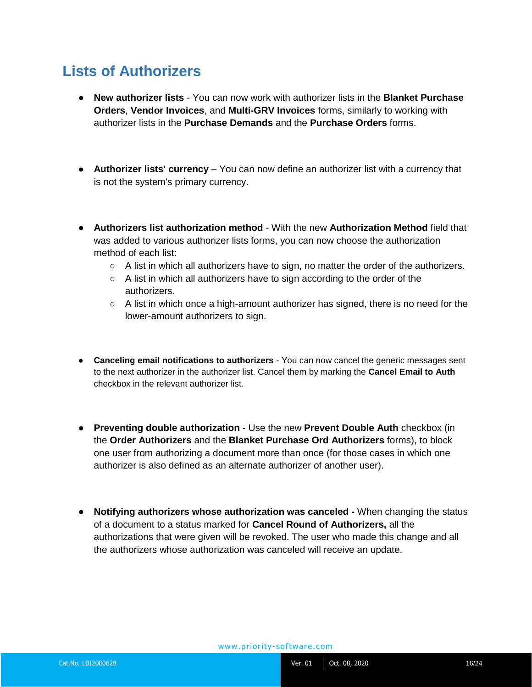#### <span id="page-15-0"></span>**Lists of Authorizers**

- **New authorizer lists** You can now work with authorizer lists in the **Blanket Purchase Orders**, **Vendor Invoices**, and **Multi-GRV Invoices** forms, similarly to working with authorizer lists in the **Purchase Demands** and the **Purchase Orders** forms.
- **Authorizer lists' currency** You can now define an authorizer list with a currency that is not the system's primary currency.
- **Authorizers list authorization method** With the new **Authorization Method** field that was added to various authorizer lists forms, you can now choose the authorization method of each list:
	- $\circ$  A list in which all authorizers have to sign, no matter the order of the authorizers.
	- A list in which all authorizers have to sign according to the order of the authorizers.
	- $\circ$  A list in which once a high-amount authorizer has signed, there is no need for the lower-amount authorizers to sign.
- **Canceling email notifications to authorizers** You can now cancel the generic messages sent to the next authorizer in the authorizer list. Cancel them by marking the **Cancel Email to Auth** checkbox in the relevant authorizer list.
- **Preventing double authorization** Use the new **Prevent Double Auth** checkbox (in the **Order Authorizers** and the **Blanket Purchase Ord Authorizers** forms), to block one user from authorizing a document more than once (for those cases in which one authorizer is also defined as an alternate authorizer of another user).
- **Notifying authorizers whose authorization was canceled -** When changing the status of a document to a status marked for **Cancel Round of Authorizers,** all the authorizations that were given will be revoked. The user who made this change and all the authorizers whose authorization was canceled will receive an update.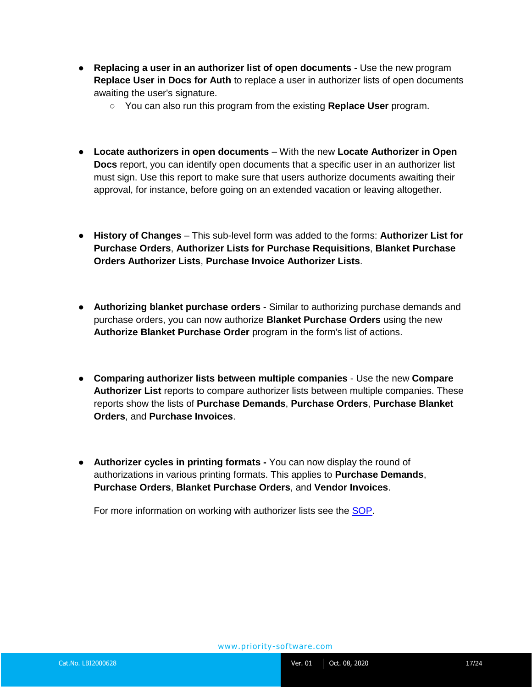- **Replacing a user in an authorizer list of open documents** Use the new program **Replace User in Docs for Auth** to replace a user in authorizer lists of open documents awaiting the user's signature.
	- You can also run this program from the existing **Replace User** program.
- **Locate authorizers in open documents** With the new **Locate Authorizer in Open Docs** report, you can identify open documents that a specific user in an authorizer list must sign. Use this report to make sure that users authorize documents awaiting their approval, for instance, before going on an extended vacation or leaving altogether.
- **History of Changes** This sub-level form was added to the forms: **Authorizer List for Purchase Orders**, **Authorizer Lists for Purchase Requisitions**, **Blanket Purchase Orders Authorizer Lists**, **Purchase Invoice Authorizer Lists**.
- **Authorizing blanket purchase orders** Similar to authorizing purchase demands and purchase orders, you can now authorize **Blanket Purchase Orders** using the new **Authorize Blanket Purchase Order** program in the form's list of actions.
- **Comparing authorizer lists between multiple companies** Use the new **Compare Authorizer List** reports to compare authorizer lists between multiple companies. These reports show the lists of **Purchase Demands**, **Purchase Orders**, **Purchase Blanket Orders**, and **Purchase Invoices**.
- **Authorizer cycles in printing formats -** You can now display the round of authorizations in various printing formats. This applies to **Purchase Demands**, **Purchase Orders**, **Blanket Purchase Orders**, and **Vendor Invoices**.

For more information on working with authorizer lists see the **SOP**.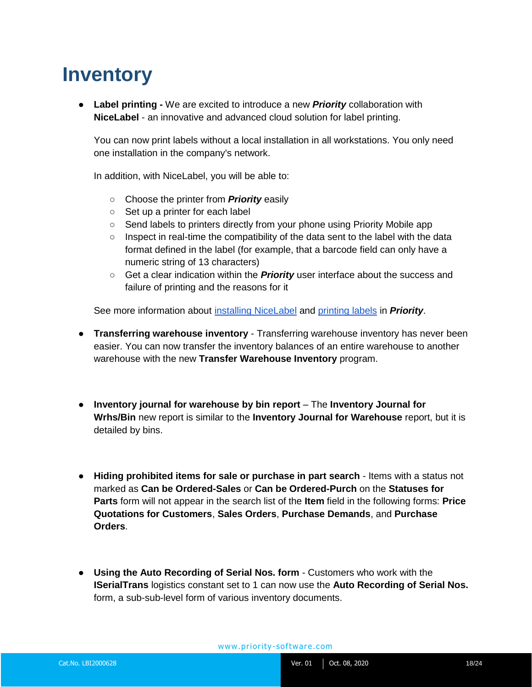### <span id="page-17-0"></span>**Inventory**

● **Label printing -** We are excited to introduce a new *Priority* collaboration with **NiceLabel** - an innovative and advanced cloud solution for label printing.

You can now print labels without a local installation in all workstations. You only need one installation in the company's network.

In addition, with NiceLabel, you will be able to:

- Choose the printer from *Priority* easily
- Set up a printer for each label
- Send labels to printers directly from your phone using Priority Mobile app
- Inspect in real-time the compatibility of the data sent to the label with the data format defined in the label (for example, that a barcode field can only have a numeric string of 13 characters)
- Get a clear indication within the *Priority* user interface about the success and failure of printing and the reasons for it

See more information about [installing NiceLabel](https://support.priority-software.com/#/kb/LBI2000547/English) and [printing labels](https://support.priority-software.com/#/kb/LB140154/English) in *Priority*.

- **Transferring warehouse inventory** Transferring warehouse inventory has never been easier. You can now transfer the inventory balances of an entire warehouse to another warehouse with the new **Transfer Warehouse Inventory** program.
- **Inventory journal for warehouse by bin report** The **Inventory Journal for Wrhs/Bin** new report is similar to the **Inventory Journal for Warehouse** report, but it is detailed by bins.
- **Hiding prohibited items for sale or purchase in part search**  Items with a status not marked as **Can be Ordered-Sales** or **Can be Ordered-Purch** on the **Statuses for Parts** form will not appear in the search list of the **Item** field in the following forms: **Price Quotations for Customers**, **Sales Orders**, **Purchase Demands**, and **Purchase Orders**.
- **Using the Auto Recording of Serial Nos. form** Customers who work with the **ISerialTrans** logistics constant set to 1 can now use the **Auto Recording of Serial Nos.** form, a sub-sub-level form of various inventory documents.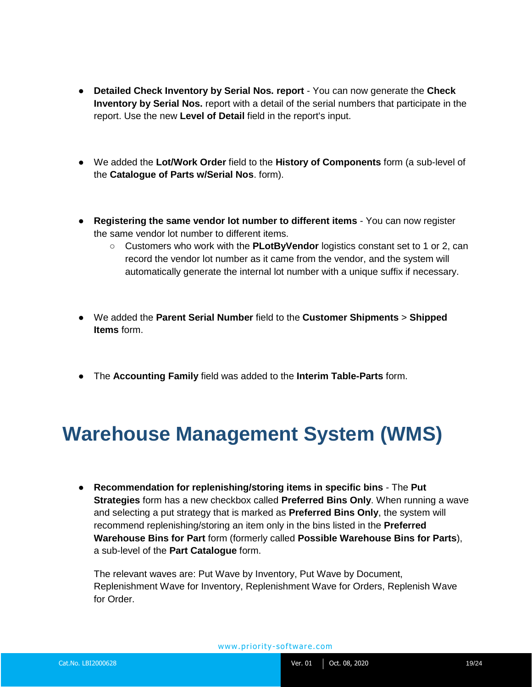- **Detailed Check Inventory by Serial Nos. report** You can now generate the **Check Inventory by Serial Nos.** report with a detail of the serial numbers that participate in the report. Use the new **Level of Detail** field in the report's input.
- We added the **Lot/Work Order** field to the **History of Components** form (a sub-level of the **Catalogue of Parts w/Serial Nos**. form).
- **Registering the same vendor lot number to different items** You can now register the same vendor lot number to different items.
	- Customers who work with the **PLotByVendor** logistics constant set to 1 or 2, can record the vendor lot number as it came from the vendor, and the system will automatically generate the internal lot number with a unique suffix if necessary.
- We added the **Parent Serial Number** field to the **Customer Shipments** > **Shipped Items** form.
- The **Accounting Family** field was added to the **Interim Table-Parts** form.

### <span id="page-18-0"></span>**Warehouse Management System (WMS)**

● **Recommendation for replenishing/storing items in specific bins** - The **Put Strategies** form has a new checkbox called **Preferred Bins Only**. When running a wave and selecting a put strategy that is marked as **Preferred Bins Only**, the system will recommend replenishing/storing an item only in the bins listed in the **Preferred Warehouse Bins for Part** form (formerly called **Possible Warehouse Bins for Parts**), a sub-level of the **Part Catalogue** form.

The relevant waves are: Put Wave by Inventory, Put Wave by Document, Replenishment Wave for Inventory, Replenishment Wave for Orders, Replenish Wave for Order.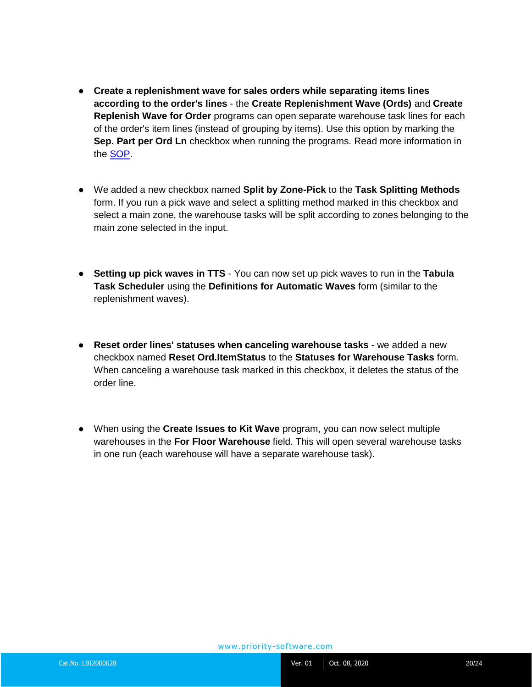- **Create a replenishment wave for sales orders while separating items lines according to the order's lines** - the **Create Replenishment Wave (Ords)** and **Create Replenish Wave for Order** programs can open separate warehouse task lines for each of the order's item lines (instead of grouping by items). Use this option by marking the **Sep. Part per Ord Ln** checkbox when running the programs. Read more information in the [SOP.](https://support.priority-software.com/#/kb/LBI2000611/English)
- We added a new checkbox named **Split by Zone-Pick** to the **Task Splitting Methods** form. If you run a pick wave and select a splitting method marked in this checkbox and select a main zone, the warehouse tasks will be split according to zones belonging to the main zone selected in the input.
- **Setting up pick waves in TTS**  You can now set up pick waves to run in the **Tabula Task Scheduler** using the **Definitions for Automatic Waves** form (similar to the replenishment waves).
- **Reset order lines' statuses when canceling warehouse tasks** we added a new checkbox named **Reset Ord.ItemStatus** to the **Statuses for Warehouse Tasks** form. When canceling a warehouse task marked in this checkbox, it deletes the status of the order line.
- When using the **Create Issues to Kit Wave** program, you can now select multiple warehouses in the **For Floor Warehouse** field. This will open several warehouse tasks in one run (each warehouse will have a separate warehouse task).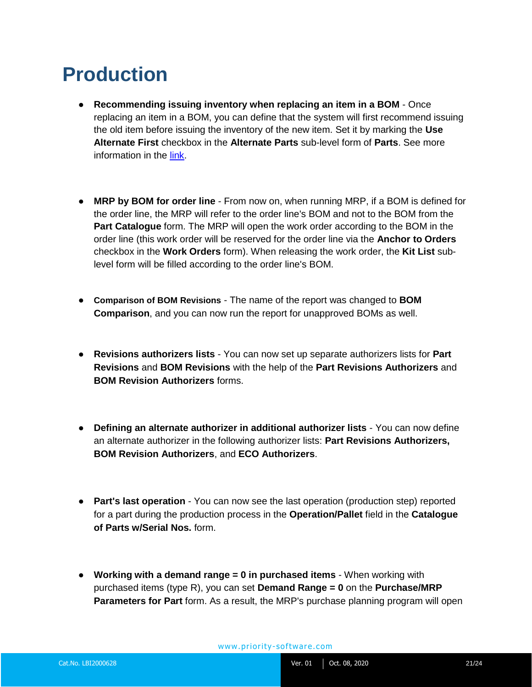### <span id="page-20-0"></span>**Production**

- **Recommending issuing inventory when replacing an item in a BOM**  Once replacing an item in a BOM, you can define that the system will first recommend issuing the old item before issuing the inventory of the new item. Set it by marking the **Use Alternate First** checkbox in the **Alternate Parts** sub-level form of **Parts**. See more information in the [link.](https://support.priority-software.com/#/kb/FQI2000374_E/English)
- **MRP by BOM for order line**  From now on, when running MRP, if a BOM is defined for the order line, the MRP will refer to the order line's BOM and not to the BOM from the **Part Catalogue** form. The MRP will open the work order according to the BOM in the order line (this work order will be reserved for the order line via the **Anchor to Orders**  checkbox in the **Work Orders** form). When releasing the work order, the **Kit List** sublevel form will be filled according to the order line's BOM.
- **Comparison of BOM Revisions** The name of the report was changed to **BOM Comparison**, and you can now run the report for unapproved BOMs as well.
- **Revisions authorizers lists** You can now set up separate authorizers lists for **Part Revisions** and **BOM Revisions** with the help of the **Part Revisions Authorizers** and **BOM Revision Authorizers** forms.
- **Defining an alternate authorizer in additional authorizer lists** You can now define an alternate authorizer in the following authorizer lists: **Part Revisions Authorizers, BOM Revision Authorizers**, and **ECO Authorizers**.
- **Part's last operation** You can now see the last operation (production step) reported for a part during the production process in the **Operation/Pallet** field in the **Catalogue of Parts w/Serial Nos.** form.
- **Working with a demand range = 0 in purchased items**  When working with purchased items (type R), you can set **Demand Range = 0** on the **Purchase/MRP Parameters for Part** form. As a result, the MRP's purchase planning program will open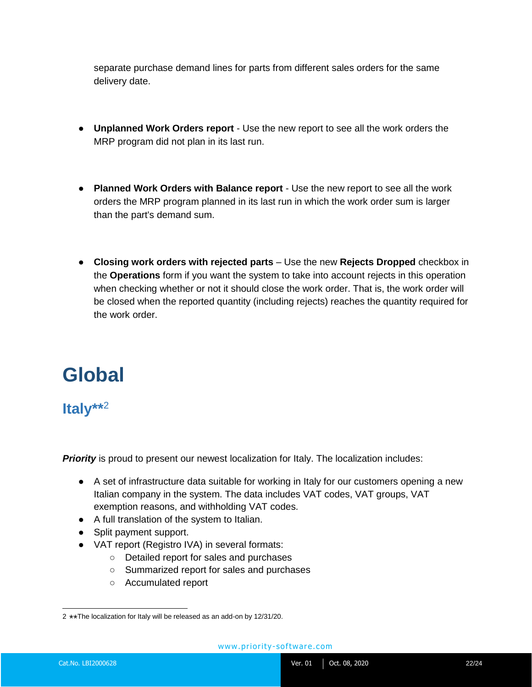separate purchase demand lines for parts from different sales orders for the same delivery date.

- **Unplanned Work Orders report** Use the new report to see all the work orders the MRP program did not plan in its last run.
- **Planned Work Orders with Balance report**  Use the new report to see all the work orders the MRP program planned in its last run in which the work order sum is larger than the part's demand sum.
- **Closing work orders with rejected parts** Use the new **Rejects Dropped** checkbox in the **Operations** form if you want the system to take into account rejects in this operation when checking whether or not it should close the work order. That is, the work order will be closed when the reported quantity (including rejects) reaches the quantity required for the work order.

### <span id="page-21-0"></span>**Global**

#### <span id="page-21-1"></span>**Italy\*\*** 2

**Priority** is proud to present our newest localization for Italy. The localization includes:

- A set of infrastructure data suitable for working in Italy for our customers opening a new Italian company in the system. The data includes VAT codes, VAT groups, VAT exemption reasons, and withholding VAT codes.
- A full translation of the system to Italian.
- Split payment support.
- VAT report (Registro IVA) in several formats:
	- Detailed report for sales and purchases
	- Summarized report for sales and purchases
	- Accumulated report

 2 \*\* The localization for Italy will be released as an add-on by 12/31/20.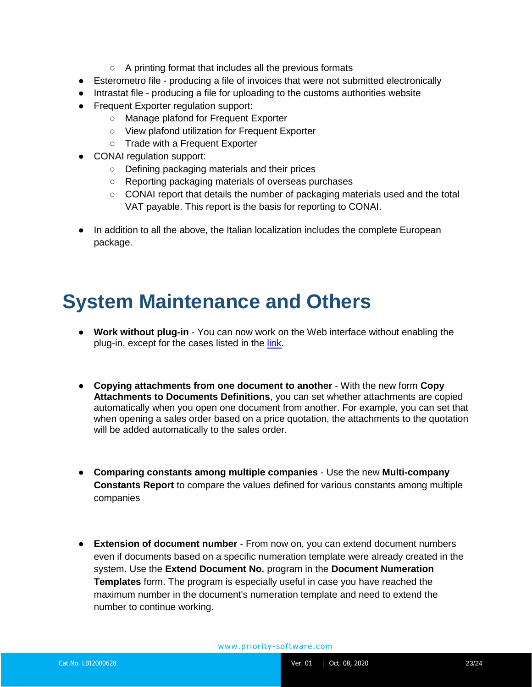- A printing format that includes all the previous formats
- Esterometro file producing a file of invoices that were not submitted electronically
- Intrastat file producing a file for uploading to the customs authorities website
- Frequent Exporter regulation support:
	- Manage plafond for Frequent Exporter
	- View plafond utilization for Frequent Exporter
	- Trade with a Frequent Exporter
- CONAI regulation support:
	- Defining packaging materials and their prices
	- Reporting packaging materials of overseas purchases
	- CONAI report that details the number of packaging materials used and the total VAT payable. This report is the basis for reporting to CONAI.
- In addition to all the above, the Italian localization includes the complete European package.

### <span id="page-22-0"></span>**System Maintenance and Others**

- **Work without plug-in** You can now work on the Web interface without enabling the plug-in, except for the cases listed in the [link.](https://support.priority-software.com/#/kb/LBI2000555/English)
- **Copying attachments from one document to another** With the new form **Copy Attachments to Documents Definitions**, you can set whether attachments are copied automatically when you open one document from another. For example, you can set that when opening a sales order based on a price quotation, the attachments to the quotation will be added automatically to the sales order.
- **Comparing constants among multiple companies**  Use the new **Multi-company Constants Report** to compare the values defined for various constants among multiple companies
- **Extension of document number** From now on, you can extend document numbers even if documents based on a specific numeration template were already created in the system. Use the **Extend Document No.** program in the **Document Numeration Templates** form. The program is especially useful in case you have reached the maximum number in the document's numeration template and need to extend the number to continue working.